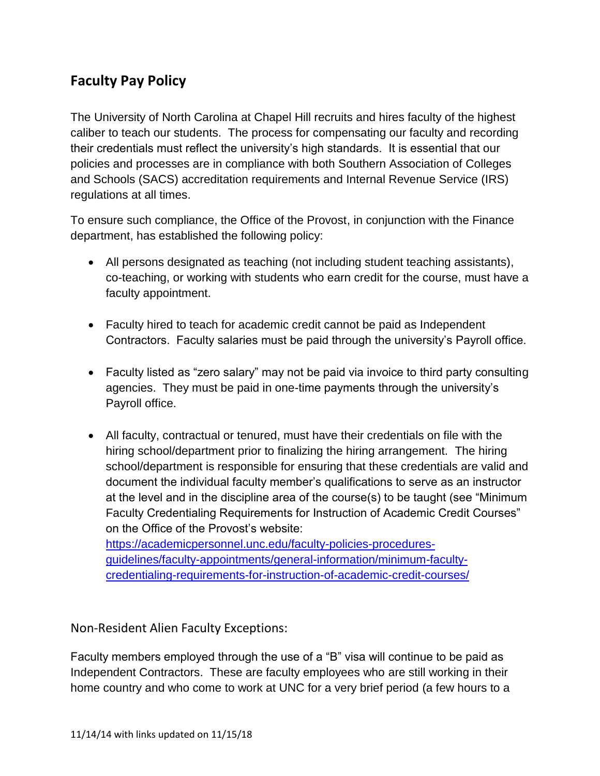## **Faculty Pay Policy**

The University of North Carolina at Chapel Hill recruits and hires faculty of the highest caliber to teach our students. The process for compensating our faculty and recording their credentials must reflect the university's high standards. It is essential that our policies and processes are in compliance with both Southern Association of Colleges and Schools (SACS) accreditation requirements and Internal Revenue Service (IRS) regulations at all times.

To ensure such compliance, the Office of the Provost, in conjunction with the Finance department, has established the following policy:

- All persons designated as teaching (not including student teaching assistants), co-teaching, or working with students who earn credit for the course, must have a faculty appointment.
- Faculty hired to teach for academic credit cannot be paid as Independent Contractors. Faculty salaries must be paid through the university's Payroll office.
- Faculty listed as "zero salary" may not be paid via invoice to third party consulting agencies. They must be paid in one-time payments through the university's Payroll office.
- All faculty, contractual or tenured, must have their credentials on file with the hiring school/department prior to finalizing the hiring arrangement. The hiring school/department is responsible for ensuring that these credentials are valid and document the individual faculty member's qualifications to serve as an instructor at the level and in the discipline area of the course(s) to be taught (see "Minimum Faculty Credentialing Requirements for Instruction of Academic Credit Courses" on the Office of the Provost's website:

[https://academicpersonnel.unc.edu/faculty-policies-procedures](https://academicpersonnel.unc.edu/faculty-policies-procedures-guidelines/faculty-appointments/general-information/minimum-faculty-credentialing-requirements-for-instruction-of-academic-credit-courses/)[guidelines/faculty-appointments/general-information/minimum-faculty](https://academicpersonnel.unc.edu/faculty-policies-procedures-guidelines/faculty-appointments/general-information/minimum-faculty-credentialing-requirements-for-instruction-of-academic-credit-courses/)[credentialing-requirements-for-instruction-of-academic-credit-courses/](https://academicpersonnel.unc.edu/faculty-policies-procedures-guidelines/faculty-appointments/general-information/minimum-faculty-credentialing-requirements-for-instruction-of-academic-credit-courses/)

Non-Resident Alien Faculty Exceptions:

Faculty members employed through the use of a "B" visa will continue to be paid as Independent Contractors. These are faculty employees who are still working in their home country and who come to work at UNC for a very brief period (a few hours to a